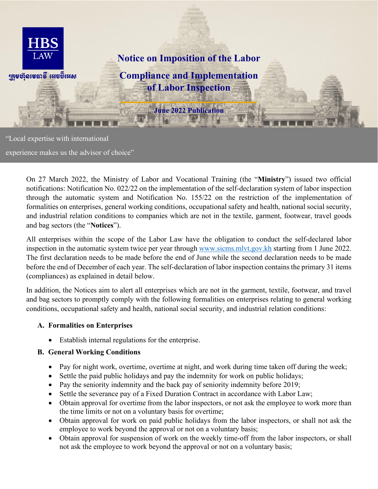

"Local expertise with international

experience makes us the advisor of choice"

On 27 March 2022, the Ministry of Labor and Vocational Training (the "**Ministry**") issued two official notifications: Notification No. 022/22 on the implementation of the self-declaration system of labor inspection through the automatic system and Notification No. 155/22 on the restriction of the implementation of formalities on enterprises, general working conditions, occupational safety and health, national social security, and industrial relation conditions to companies which are not in the textile, garment, footwear, travel goods and bag sectors (the "**Notices**").

All enterprises within the scope of the Labor Law have the obligation to conduct the self-declared labor inspection in the automatic system twice per year through [www.sicms.mlvt.gov.kh](http://www.sicms.mlvt.gov.kh/) starting from 1 June 2022. The first declaration needs to be made before the end of June while the second declaration needs to be made before the end of December of each year. The self-declaration of labor inspection contains the primary 31 items (compliances) as explained in detail below.

In addition, the Notices aim to alert all enterprises which are not in the garment, textile, footwear, and travel and bag sectors to promptly comply with the following formalities on enterprises relating to general working conditions, occupational safety and health, national social security, and industrial relation conditions:

#### **A. Formalities on Enterprises**

• Establish internal regulations for the enterprise.

#### **B. General Working Conditions**

- Pay for night work, overtime, overtime at night, and work during time taken off during the week;
- Settle the paid public holidays and pay the indemnity for work on public holidays;
- Pay the seniority indemnity and the back pay of seniority indemnity before 2019;
- Settle the severance pay of a Fixed Duration Contract in accordance with Labor Law;
- Obtain approval for overtime from the labor inspectors, or not ask the employee to work more than the time limits or not on a voluntary basis for overtime;
- Obtain approval for work on paid public holidays from the labor inspectors, or shall not ask the employee to work beyond the approval or not on a voluntary basis;
- Obtain approval for suspension of work on the weekly time-off from the labor inspectors, or shall not ask the employee to work beyond the approval or not on a voluntary basis;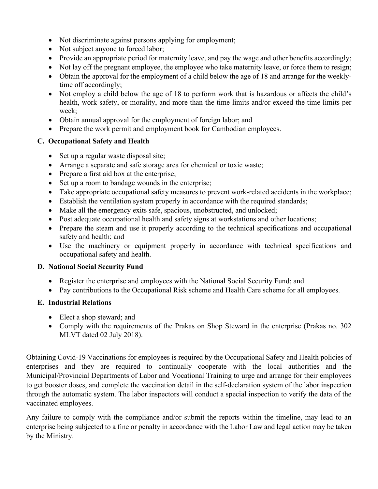- Not discriminate against persons applying for employment;
- Not subject anyone to forced labor;
- Provide an appropriate period for maternity leave, and pay the wage and other benefits accordingly;
- Not lay off the pregnant employee, the employee who take maternity leave, or force them to resign;
- Obtain the approval for the employment of a child below the age of 18 and arrange for the weeklytime off accordingly;
- Not employ a child below the age of 18 to perform work that is hazardous or affects the child's health, work safety, or morality, and more than the time limits and/or exceed the time limits per week;
- Obtain annual approval for the employment of foreign labor; and
- Prepare the work permit and employment book for Cambodian employees.

### **C. Occupational Safety and Health**

- Set up a regular waste disposal site;
- Arrange a separate and safe storage area for chemical or toxic waste;
- Prepare a first aid box at the enterprise:
- Set up a room to bandage wounds in the enterprise;
- Take appropriate occupational safety measures to prevent work-related accidents in the workplace;
- Establish the ventilation system properly in accordance with the required standards;
- Make all the emergency exits safe, spacious, unobstructed, and unlocked;
- Post adequate occupational health and safety signs at workstations and other locations;
- Prepare the steam and use it properly according to the technical specifications and occupational safety and health; and
- Use the machinery or equipment properly in accordance with technical specifications and occupational safety and health.

#### **D. National Social Security Fund**

- Register the enterprise and employees with the National Social Security Fund; and
- Pay contributions to the Occupational Risk scheme and Health Care scheme for all employees.

## **E. Industrial Relations**

- Elect a shop steward; and
- Comply with the requirements of the Prakas on Shop Steward in the enterprise (Prakas no. 302) MLVT dated 02 July 2018).

Obtaining Covid-19 Vaccinations for employees is required by the Occupational Safety and Health policies of enterprises and they are required to continually cooperate with the local authorities and the Municipal/Provincial Departments of Labor and Vocational Training to urge and arrange for their employees to get booster doses, and complete the vaccination detail in the self-declaration system of the labor inspection through the automatic system. The labor inspectors will conduct a special inspection to verify the data of the vaccinated employees.

Any failure to comply with the compliance and/or submit the reports within the timeline, may lead to an enterprise being subjected to a fine or penalty in accordance with the Labor Law and legal action may be taken by the Ministry.